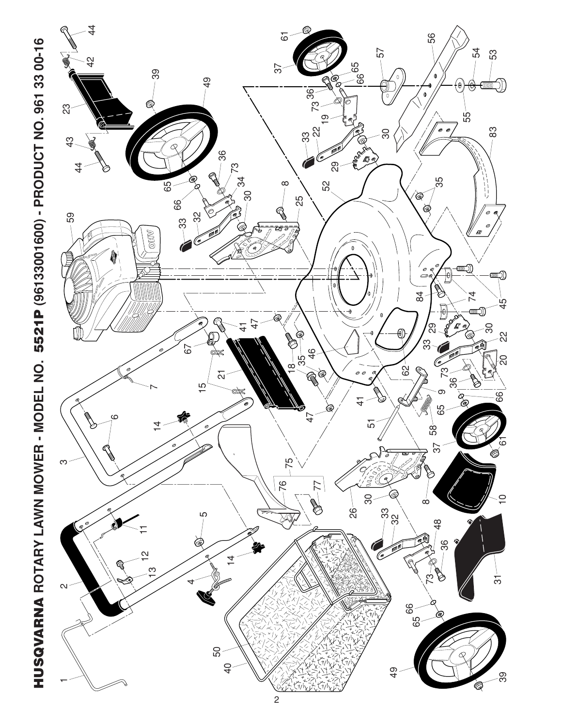